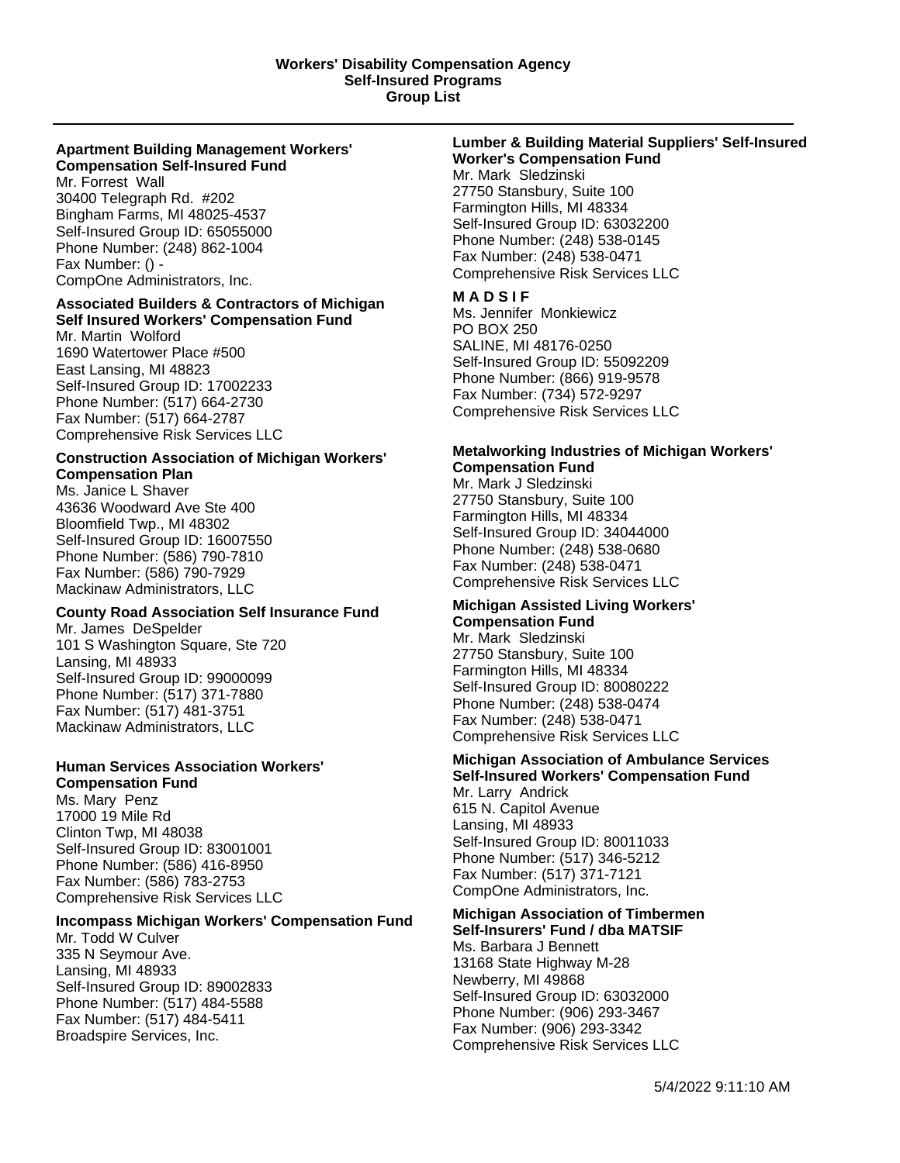#### **Apartment Building Management Workers' Compensation Self-Insured Fund**

Mr. Forrest Wall 30400 Telegraph Rd. #202 Bingham Farms, MI 48025-4537 Self-Insured Group ID: 65055000 Phone Number: (248) 862-1004 Fax Number: () - CompOne Administrators, Inc.

## **Associated Builders & Contractors of Michigan Self Insured Workers' Compensation Fund**

Mr. Martin Wolford 1690 Watertower Place #500 East Lansing, MI 48823 Self-Insured Group ID: 17002233 Phone Number: (517) 664-2730 Fax Number: (517) 664-2787 Comprehensive Risk Services LLC

#### **Construction Association of Michigan Workers' Compensation Plan**

Ms. Janice L Shaver 43636 Woodward Ave Ste 400 Bloomfield Twp., MI 48302 Self-Insured Group ID: 16007550 Phone Number: (586) 790-7810 Fax Number: (586) 790-7929 Mackinaw Administrators, LLC

# **County Road Association Self Insurance Fund**

Mr. James DeSpelder 101 S Washington Square, Ste 720 Lansing, MI 48933 Self-Insured Group ID: 99000099 Phone Number: (517) 371-7880 Fax Number: (517) 481-3751 Mackinaw Administrators, LLC

## **Human Services Association Workers' Compensation Fund**

Ms. Mary Penz 17000 19 Mile Rd Clinton Twp, MI 48038 Self-Insured Group ID: 83001001 Phone Number: (586) 416-8950 Fax Number: (586) 783-2753 Comprehensive Risk Services LLC

## **Incompass Michigan Workers' Compensation Fund**

Mr. Todd W Culver 335 N Seymour Ave. Lansing, MI 48933 Self-Insured Group ID: 89002833 Phone Number: (517) 484-5588 Fax Number: (517) 484-5411 Broadspire Services, Inc.

#### **Lumber & Building Material Suppliers' Self-Insured Worker's Compensation Fund**

Mr. Mark Sledzinski 27750 Stansbury, Suite 100 Farmington Hills, MI 48334 Self-Insured Group ID: 63032200 Phone Number: (248) 538-0145 Fax Number: (248) 538-0471 Comprehensive Risk Services LLC

## **M A D S I F**

Ms. Jennifer Monkiewicz PO BOX 250 SALINE, MI 48176-0250 Self-Insured Group ID: 55092209 Phone Number: (866) 919-9578 Fax Number: (734) 572-9297 Comprehensive Risk Services LLC

# **Metalworking Industries of Michigan Workers' Compensation Fund**

Mr. Mark J Sledzinski 27750 Stansbury, Suite 100 Farmington Hills, MI 48334 Self-Insured Group ID: 34044000 Phone Number: (248) 538-0680 Fax Number: (248) 538-0471 Comprehensive Risk Services LLC

#### **Michigan Assisted Living Workers' Compensation Fund**

Mr. Mark Sledzinski 27750 Stansbury, Suite 100 Farmington Hills, MI 48334 Self-Insured Group ID: 80080222 Phone Number: (248) 538-0474 Fax Number: (248) 538-0471 Comprehensive Risk Services LLC

# **Michigan Association of Ambulance Services Self-Insured Workers' Compensation Fund**

Mr. Larry Andrick 615 N. Capitol Avenue Lansing, MI 48933 Self-Insured Group ID: 80011033 Phone Number: (517) 346-5212 Fax Number: (517) 371-7121 CompOne Administrators, Inc.

#### **Michigan Association of Timbermen Self-Insurers' Fund / dba MATSIF**

Ms. Barbara J Bennett 13168 State Highway M-28 Newberry, MI 49868 Self-Insured Group ID: 63032000 Phone Number: (906) 293-3467 Fax Number: (906) 293-3342 Comprehensive Risk Services LLC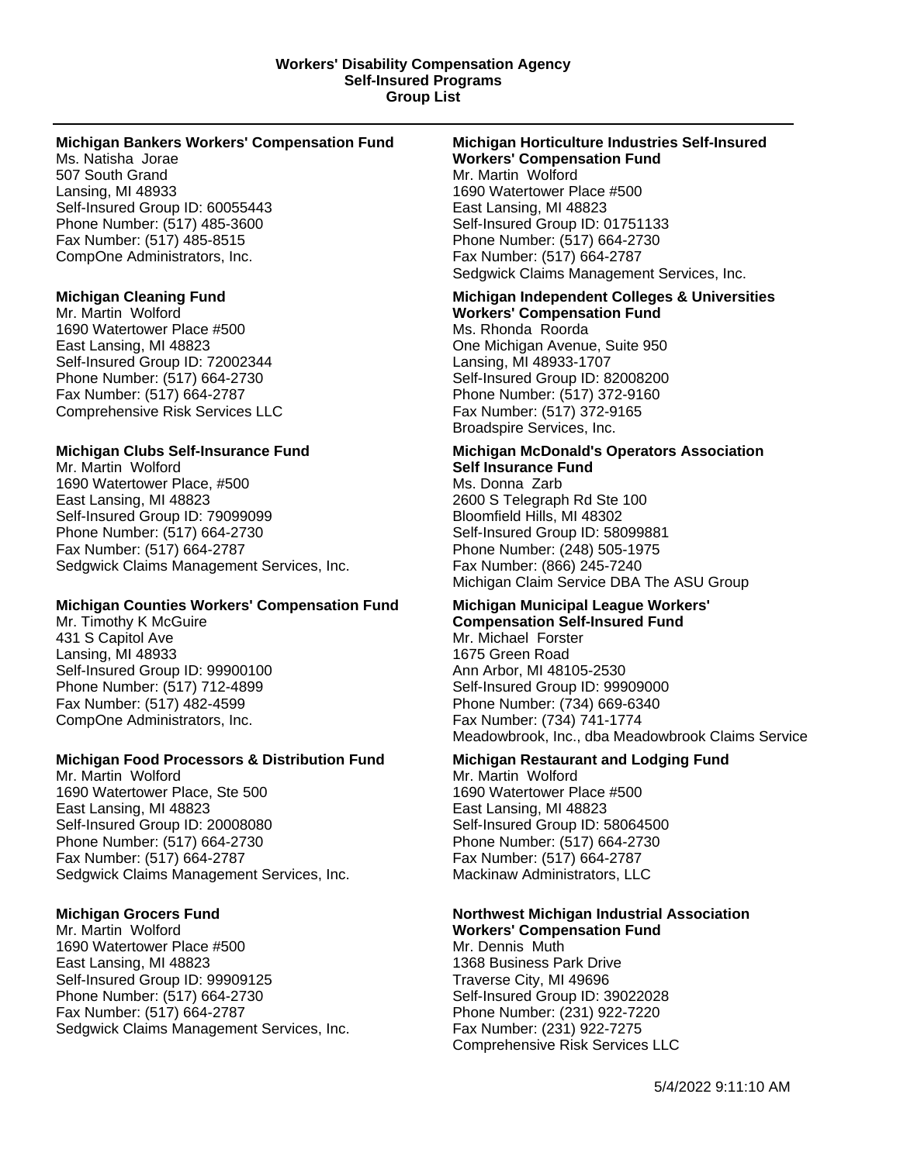#### **Workers' Disability Compensation Agency Self-Insured Programs Group List**

#### **Michigan Bankers Workers' Compensation Fund**

Ms. Natisha Jorae 507 South Grand Lansing, MI 48933 Self-Insured Group ID: 60055443 Phone Number: (517) 485-3600 Fax Number: (517) 485-8515 CompOne Administrators, Inc.

#### **Michigan Cleaning Fund**

Mr. Martin Wolford 1690 Watertower Place #500 East Lansing, MI 48823 Self-Insured Group ID: 72002344 Phone Number: (517) 664-2730 Fax Number: (517) 664-2787 Comprehensive Risk Services LLC

## **Michigan Clubs Self-Insurance Fund**

Mr. Martin Wolford 1690 Watertower Place, #500 East Lansing, MI 48823 Self-Insured Group ID: 79099099 Phone Number: (517) 664-2730 Fax Number: (517) 664-2787 Sedgwick Claims Management Services, Inc.

## **Michigan Counties Workers' Compensation Fund**

Mr. Timothy K McGuire 431 S Capitol Ave Lansing, MI 48933 Self-Insured Group ID: 99900100 Phone Number: (517) 712-4899 Fax Number: (517) 482-4599 CompOne Administrators, Inc.

## **Michigan Food Processors & Distribution Fund**

Mr. Martin Wolford 1690 Watertower Place, Ste 500 East Lansing, MI 48823 Self-Insured Group ID: 20008080 Phone Number: (517) 664-2730 Fax Number: (517) 664-2787 Sedgwick Claims Management Services, Inc.

## **Michigan Grocers Fund**

Mr. Martin Wolford 1690 Watertower Place #500 East Lansing, MI 48823 Self-Insured Group ID: 99909125 Phone Number: (517) 664-2730 Fax Number: (517) 664-2787 Sedgwick Claims Management Services, Inc.

#### **Michigan Horticulture Industries Self-Insured Workers' Compensation Fund** Mr. Martin Wolford 1690 Watertower Place #500 East Lansing, MI 48823 Self-Insured Group ID: 01751133

Phone Number: (517) 664-2730 Fax Number: (517) 664-2787 Sedgwick Claims Management Services, Inc.

# **Michigan Independent Colleges & Universities Workers' Compensation Fund** Ms. Rhonda Roorda

One Michigan Avenue, Suite 950 Lansing, MI 48933-1707 Self-Insured Group ID: 82008200 Phone Number: (517) 372-9160 Fax Number: (517) 372-9165 Broadspire Services, Inc.

# **Michigan McDonald's Operators Association Self Insurance Fund**

Ms. Donna Zarb 2600 S Telegraph Rd Ste 100 Bloomfield Hills, MI 48302 Self-Insured Group ID: 58099881 Phone Number: (248) 505-1975 Fax Number: (866) 245-7240 Michigan Claim Service DBA The ASU Group

#### **Michigan Municipal League Workers' Compensation Self-Insured Fund**

Mr. Michael Forster 1675 Green Road Ann Arbor, MI 48105-2530 Self-Insured Group ID: 99909000 Phone Number: (734) 669-6340 Fax Number: (734) 741-1774 Meadowbrook, Inc., dba Meadowbrook Claims Service

## **Michigan Restaurant and Lodging Fund**

Mr. Martin Wolford 1690 Watertower Place #500 East Lansing, MI 48823 Self-Insured Group ID: 58064500 Phone Number: (517) 664-2730 Fax Number: (517) 664-2787 Mackinaw Administrators, LLC

#### **Northwest Michigan Industrial Association Workers' Compensation Fund**

Mr. Dennis Muth 1368 Business Park Drive Traverse City, MI 49696 Self-Insured Group ID: 39022028 Phone Number: (231) 922-7220 Fax Number: (231) 922-7275 Comprehensive Risk Services LLC